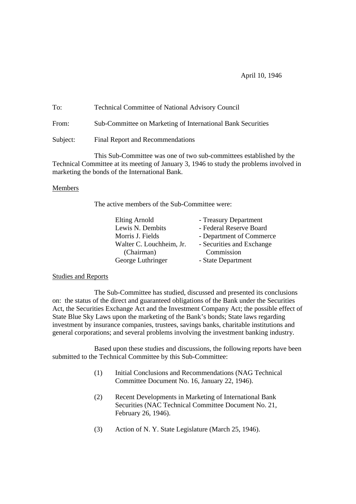April 10, 1946

| To:      | <b>Technical Committee of National Advisory Council</b>     |
|----------|-------------------------------------------------------------|
| From:    | Sub-Committee on Marketing of International Bank Securities |
| Subject: | Final Report and Recommendations                            |

This Sub-Committee was one of two sub-committees established by the Technical Committee at its meeting of January 3, 1946 to study the problems involved in marketing the bonds of the International Bank.

## Members

The active members of the Sub-Committee were:

| Elting Arnold            | - Treasury Department     |
|--------------------------|---------------------------|
| Lewis N. Dembits         | - Federal Reserve Board   |
| Morris J. Fields         | - Department of Commerce  |
| Walter C. Louchheim, Jr. | - Securities and Exchange |
| (Chairman)               | Commission                |
| George Luthringer        | - State Department        |

## Studies and Reports

The Sub-Committee has studied, discussed and presented its conclusions on: the status of the direct and guaranteed obligations of the Bank under the Securities Act, the Securities Exchange Act and the Investment Company Act; the possible effect of State Blue Sky Laws upon the marketing of the Bank's bonds; State laws regarding investment by insurance companies, trustees, savings banks, charitable institutions and general corporations; and several problems involving the investment banking industry.

Based upon these studies and discussions, the following reports have been submitted to the Technical Committee by this Sub-Committee:

- (1) Initial Conclusions and Recommendations (NAG Technical Committee Document No. 16, January 22, 1946).
- (2) Recent Developments in Marketing of International Bank Securities (NAC Technical Committee Document No. 21, February 26, 1946).
- (3) Action of N. Y. State Legislature (March 25, 1946).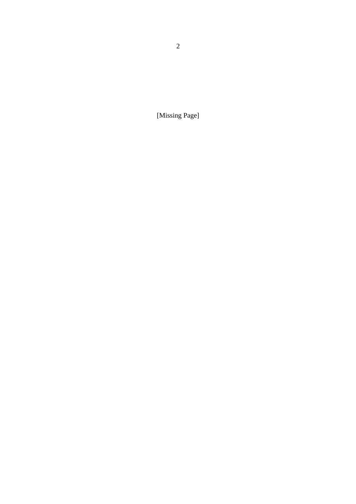[Missing Page]